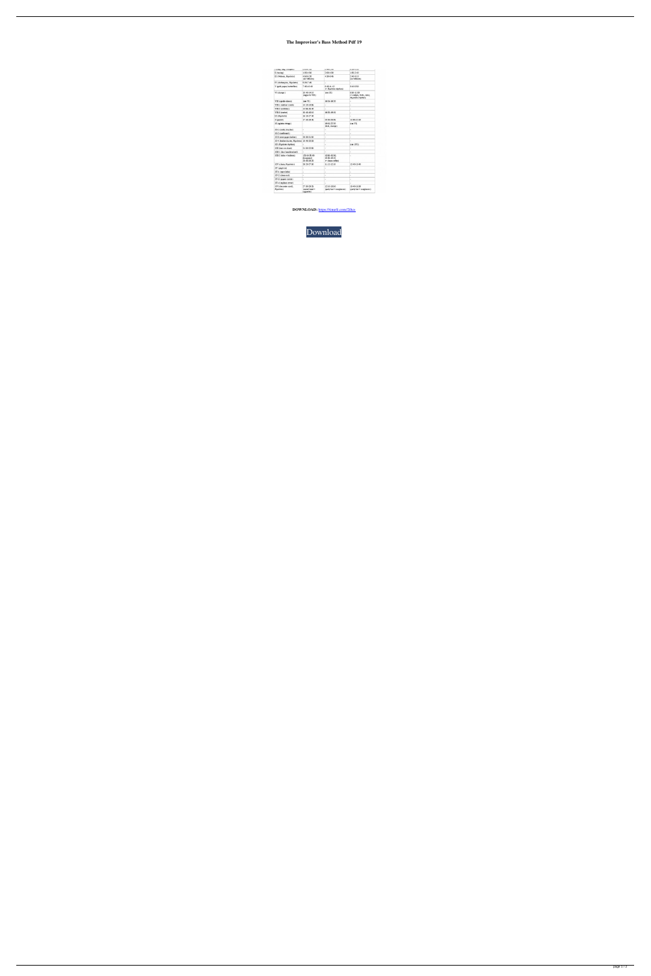## The Improviser's Bass Method Pdf 19

| r imah' me <sup>m</sup> rumbasa'i            | <b>MANTA AND</b>                               | M.TM A.WA                                       | U.M.P.L.UU                                                  |
|----------------------------------------------|------------------------------------------------|-------------------------------------------------|-------------------------------------------------------------|
| $\pi$ (tuning)                               | 1:05-4:50                                      | $2:00 - 4:30$                                   | 1:05-2:40                                                   |
| III (Webern, Repoletto)                      | 4:50-5:20<br>(no Web ern)                      | $4:30-6:45$                                     | $2:40-3:10$<br>(no Webern)                                  |
| IV (clothespins, Rigoletto)                  | 5:20-7:45                                      |                                                 |                                                             |
| V (gold paper, butterfaes)                   | $7:45-10:40$                                   | 6:45-11:12<br>(+ Rigoletto thythm)              | $3:10-5:50$                                                 |
| VI (clamps)                                  | 10:40-14:10<br>(segue to VIII)                 | $(see \Sigma)$                                  | 5:50-11:00<br>(+ endpin, forks, niler,<br>Rigoletto rhythm) |
| VIII (upside-down)                           | (see VI)                                       | 16:15-18:20                                     |                                                             |
| VIII-1 (nubber/comb)                         | 14:10-14:55                                    | ٠                                               |                                                             |
| VIII-2 (cellotex)                            | 14:55-15:40                                    | ä,                                              | ä,                                                          |
| VIII-3 (caster)                              | 15:40-16:10                                    | 18:20-19:15                                     |                                                             |
| IX (Rigoletto)                               | 16:10-17:40                                    |                                                 |                                                             |
| X (pariot)                                   | 17:40-19:45                                    | 22:20-23:35                                     | 11:00-12:40                                                 |
| XI (agitate strings)                         |                                                | 19:15-22:20<br>(fork, clamps)                   | (see VI)                                                    |
| XI-1 (comb, brushes)                         | ٠                                              | ٠                                               | ۷                                                           |
| XI-2 (camboam)                               |                                                | u.                                              | u,                                                          |
| XI-3 (newspaper holder)                      | 20:33-21:50                                    | ¥.                                              | ÷                                                           |
| XI-4 (feather duster, Rigoletto) 19:45-20:33 |                                                | ٠                                               |                                                             |
| XII (Rigoletto rhythm)                       |                                                | ä,                                              | $(see \times VI)$                                           |
| XIII (bass on chair)                         | 21:50-22:55                                    | u,                                              | ÷                                                           |
| XIII-1 (fan' handkerchief)                   | u                                              | u                                               | L.                                                          |
| XIII-2 (tube + balloon)                      | $(23.10 - 25.00)$<br>disappear)<br>25:00-26:20 | 13:50-15:30:<br>15:30-16:15<br>(+ clean coffee) | ٠                                                           |
| XIV (chain, Rigoletto)                       | 26:20-27:30                                    | 11:12-12:10                                     | 12:40-13:40                                                 |
| XV (peg-box)                                 | ٠                                              | u                                               | ٠                                                           |
| XV-1 (open hole)                             | $\frac{1}{2}$                                  | u                                               | ٠                                                           |
| XV-2 (clean out)                             | ×.                                             | ä                                               | ×.                                                          |
| XV-3 (papers inside)                         | ٠                                              | u,                                              |                                                             |
| XV-4 (replace cover)                         | $\overline{\phantom{a}}$                       | ×.                                              | ٠                                                           |
| XVI (decorate scroll,<br>Rigoletto)          | 27:30-29:25<br>(carnel head +<br>cigamtte)     | 12:10-13:50<br>(party hat + sunglasses)         | 13:40-15:30<br>(party hat + sung lasses)                    |

DOWNLOAD: https://tinurli.com/2iltcs